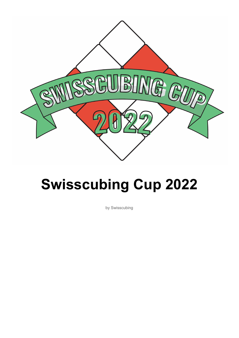

# **Swisscubing Cup 2022**

by Swisscubing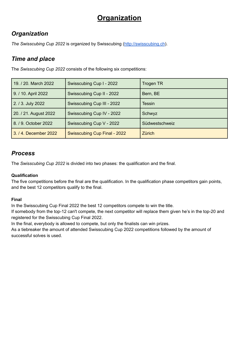# **Organization**

# *Organization*

*The Swisscubing Cup 2022* is organized by Swisscubing [\(http://swisscubing.ch](http://swisscubing.ch)).

# *Time and place*

The *Swisscubing Cup 2022* consists of the following six competitions:

| 19. / 20. March 2022  | Swisscubing Cup I - 2022            | <b>Trogen TR</b> |  |
|-----------------------|-------------------------------------|------------------|--|
| 9. / 10. April 2022   | Swisscubing Cup II - 2022           | Bern, BE         |  |
| 2. / 3. July 2022     | Swisscubing Cup III - 2022          | <b>Tessin</b>    |  |
| 20. / 21. August 2022 | Swisscubing Cup IV - 2022           | Schwyz           |  |
| 8. / 9. October 2022  | Swisscubing Cup V - 2022            | Südwestschweiz   |  |
| 3. / 4. December 2022 | <b>Swisscubing Cup Final - 2022</b> | <b>Zürich</b>    |  |

# *Process*

The *Swisscubing Cup 2022* is divided into two phases: the qualification and the final.

#### **Qualification**

The five competitions before the final are the qualification. In the qualification phase competitors gain points, and the best 12 competitors qualify to the final.

#### **Final**

In the Swisscubing Cup Final 2022 the best 12 competitors compete to win the title.

If somebody from the top-12 can't compete, the next competitor will replace them given he's in the top-20 and registered for the Swisscubing Cup Final 2022.

In the final, everybody is allowed to compete, but only the finalists can win prizes.

As a tiebreaker the amount of attended Swisscubing Cup 2022 competitions followed by the amount of successful solves is used.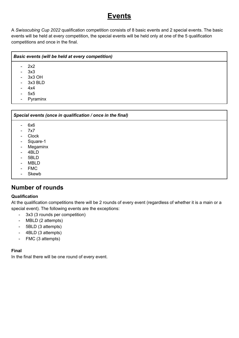# **Events**

A *Swisscubing Cup 2022* qualification competition consists of 8 basic events and 2 special events. The basic events will be held at every competition, the special events will be held only at one of the 5 qualification competitions and once in the final.

|                          | <b>Basic events (will be held at every competition)</b> |  |
|--------------------------|---------------------------------------------------------|--|
| ۰.                       | 2x2                                                     |  |
| $\sim$                   | 3x3                                                     |  |
| $\sim$ .                 | 3x3 OH                                                  |  |
| $\overline{\phantom{0}}$ | 3x3 BLD                                                 |  |
|                          | 4x4                                                     |  |
|                          | 5x5                                                     |  |

**Pyraminx** 

*Special events (once in qualification / once in the final)*

- 6x6
- 7x7
- Clock
- Square-1
- **Megaminx**
- 4BLD
- 5BLD
- MBLD
- FMC
- **Skewb**

### **Number of rounds**

#### **Qualification**

At the qualification competitions there will be 2 rounds of every event (regardless of whether it is a main or a special event). The following events are the exceptions:

- 3x3 (3 rounds per competition)
- MBLD (2 attempts)
- 5BLD (3 attempts)
- 4BLD (3 attempts)
- FMC (3 attempts)

#### **Final**

In the final there will be one round of every event.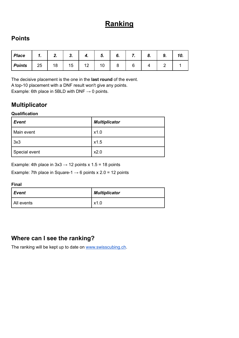# **Ranking**

# **Points**

| <b>Place</b>  | 4<br> | ٠. | າ<br>J.                        | 4. | Э. | o. | . . | ο. | J, | IV. |
|---------------|-------|----|--------------------------------|----|----|----|-----|----|----|-----|
| <b>Points</b> | 25    | 18 | $\overline{\phantom{0}}$<br>15 | 12 | 10 |    |     |    |    |     |

The decisive placement is the one in the **last round** of the event. A top-10 placement with a DNF result won't give any points. Example: 6th place in 5BLD with DNF  $\rightarrow$  0 points.

# **Multiplicator**

#### **Qualification**

| <b>Event</b>  | <b>Multiplicator</b> |  |
|---------------|----------------------|--|
| Main event    | x1.0                 |  |
| 3x3           | x1.5                 |  |
| Special event | x2.0                 |  |

Example: 4th place in  $3x3 \rightarrow 12$  points x  $1.5 = 18$  points

Example: 7th place in Square-1  $\rightarrow$  6 points x 2.0 = 12 points

#### **Final**

| Event      | <b>Multiplicator</b> |  |
|------------|----------------------|--|
| All events | x1.0                 |  |

## **Where can I see the ranking?**

The ranking will be kept up to date on [www.swisscubing.ch](http://www.swisscubing.ch).